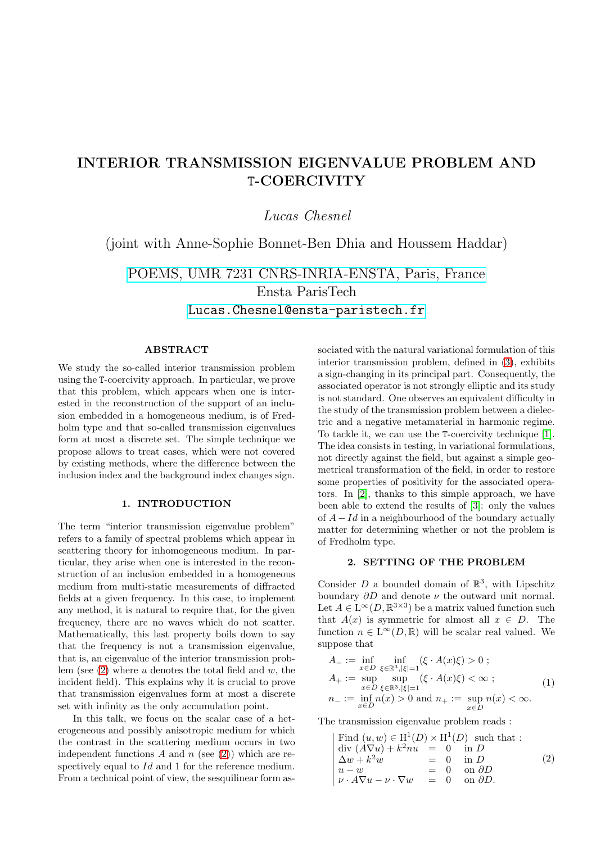# INTERIOR TRANSMISSION EIGENVALUE PROBLEM AND T-COERCIVITY

Lucas Chesnel

(joint with Anne-Sophie Bonnet-Ben Dhia and Houssem Haddar)

[POEMS, UMR 7231 CNRS-INRIA-ENSTA, Paris, France](http://uma.ensta-paristech.fr/poems/) Ensta ParisTech <Lucas.Chesnel@ensta-paristech.fr>

## ABSTRACT

We study the so-called interior transmission problem using the T-coercivity approach. In particular, we prove that this problem, which appears when one is interested in the reconstruction of the support of an inclusion embedded in a homogeneous medium, is of Fredholm type and that so-called transmission eigenvalues form at most a discrete set. The simple technique we propose allows to treat cases, which were not covered by existing methods, where the difference between the inclusion index and the background index changes sign.

## 1. INTRODUCTION

The term "interior transmission eigenvalue problem" refers to a family of spectral problems which appear in scattering theory for inhomogeneous medium. In particular, they arise when one is interested in the reconstruction of an inclusion embedded in a homogeneous medium from multi-static measurements of diffracted fields at a given frequency. In this case, to implement any method, it is natural to require that, for the given frequency, there are no waves which do not scatter. Mathematically, this last property boils down to say that the frequency is not a transmission eigenvalue, that is, an eigenvalue of the interior transmission problem (see  $(2)$  where u denotes the total field and w, the incident field). This explains why it is crucial to prove that transmission eigenvalues form at most a discrete set with infinity as the only accumulation point.

In this talk, we focus on the scalar case of a heterogeneous and possibly anisotropic medium for which the contrast in the scattering medium occurs in two independent functions A and  $n$  (see [\(2\)](#page-0-0)) which are respectively equal to Id and 1 for the reference medium. From a technical point of view, the sesquilinear form associated with the natural variational formulation of this interior transmission problem, defined in [\(3\)](#page-1-0), exhibits a sign-changing in its principal part. Consequently, the associated operator is not strongly elliptic and its study is not standard. One observes an equivalent difficulty in the study of the transmission problem between a dielectric and a negative metamaterial in harmonic regime. To tackle it, we can use the T-coercivity technique [\[1\]](#page-1-1). The idea consists in testing, in variational formulations, not directly against the field, but against a simple geometrical transformation of the field, in order to restore some properties of positivity for the associated operators. In [\[2\]](#page-1-2), thanks to this simple approach, we have been able to extend the results of [\[3\]](#page-1-3): only the values of  $A - Id$  in a neighbourhood of the boundary actually matter for determining whether or not the problem is of Fredholm type.

### 2. SETTING OF THE PROBLEM

Consider  $D$  a bounded domain of  $\mathbb{R}^3$ , with Lipschitz boundary  $\partial D$  and denote  $\nu$  the outward unit normal. Let  $A \in L^{\infty}(D, \mathbb{R}^{3 \times 3})$  be a matrix valued function such that  $A(x)$  is symmetric for almost all  $x \in D$ . The function  $n \in L^{\infty}(D,\mathbb{R})$  will be scalar real valued. We suppose that

$$
A_{-} := \inf_{x \in D} \inf_{\xi \in \mathbb{R}^3, |\xi| = 1} (\xi \cdot A(x)\xi) > 0 ;
$$
  
\n
$$
A_{+} := \sup_{x \in D} \sup_{\xi \in \mathbb{R}^3, |\xi| = 1} (\xi \cdot A(x)\xi) < \infty ;
$$
  
\n
$$
n_{-} := \inf_{x \in D} n(x) > 0 \text{ and } n_{+} := \sup_{x \in D} n(x) < \infty.
$$
  
\n(1)

The transmission eigenvalue problem reads :

<span id="page-0-0"></span>Find 
$$
(u, w) \in H^1(D) \times H^1(D)
$$
 such that :  
\ndiv  $(A\nabla u) + k^2nu = 0$  in *D*  
\n $\Delta w + k^2w = 0$  in *D*  
\n $u - w = 0$  on  $\partial D$   
\n $\nu \cdot A\nabla u - \nu \cdot \nabla w = 0$  on  $\partial D$ . (2)